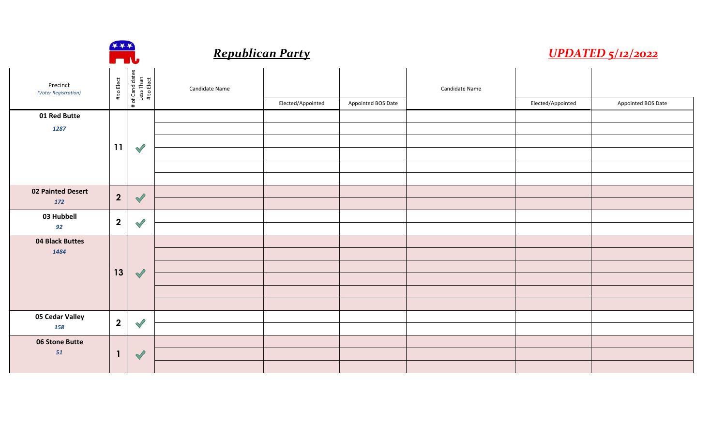|                                  | $***$<br><b>TIV</b>     | <b>UPDATED 5/12/2022</b>                   |                |                   |                    |                |                   |                    |
|----------------------------------|-------------------------|--------------------------------------------|----------------|-------------------|--------------------|----------------|-------------------|--------------------|
| Precinct<br>(Voter Registration) | # to Elect              | # of Candidates<br>Less Than<br># to Elect | Candidate Name |                   |                    | Candidate Name |                   |                    |
|                                  |                         |                                            |                | Elected/Appointed | Appointed BOS Date |                | Elected/Appointed | Appointed BOS Date |
| 01 Red Butte                     |                         |                                            |                |                   |                    |                |                   |                    |
| 1287                             |                         |                                            |                |                   |                    |                |                   |                    |
|                                  | 11                      | $\mathscr{S}$                              |                |                   |                    |                |                   |                    |
|                                  |                         |                                            |                |                   |                    |                |                   |                    |
|                                  |                         |                                            |                |                   |                    |                |                   |                    |
| <b>02 Painted Desert</b>         |                         |                                            |                |                   |                    |                |                   |                    |
| 172                              | $\overline{2}$          | $\blacklozenge$                            |                |                   |                    |                |                   |                    |
| 03 Hubbell                       | $\overline{2}$          |                                            |                |                   |                    |                |                   |                    |
| 92                               |                         | $\bigvee$                                  |                |                   |                    |                |                   |                    |
| 04 Black Buttes                  |                         |                                            |                |                   |                    |                |                   |                    |
| 1484                             |                         | $\blacktriangledown$                       |                |                   |                    |                |                   |                    |
|                                  | 13                      |                                            |                |                   |                    |                |                   |                    |
|                                  |                         |                                            |                |                   |                    |                |                   |                    |
|                                  |                         |                                            |                |                   |                    |                |                   |                    |
| 05 Cedar Valley                  |                         |                                            |                |                   |                    |                |                   |                    |
| 158                              | $\overline{\mathbf{2}}$ | $\bigvee$                                  |                |                   |                    |                |                   |                    |
| 06 Stone Butte                   |                         |                                            |                |                   |                    |                |                   |                    |
| 51                               | $\mathbf{1}$            | $\blacktriangledown$                       |                |                   |                    |                |                   |                    |
|                                  |                         |                                            |                |                   |                    |                |                   |                    |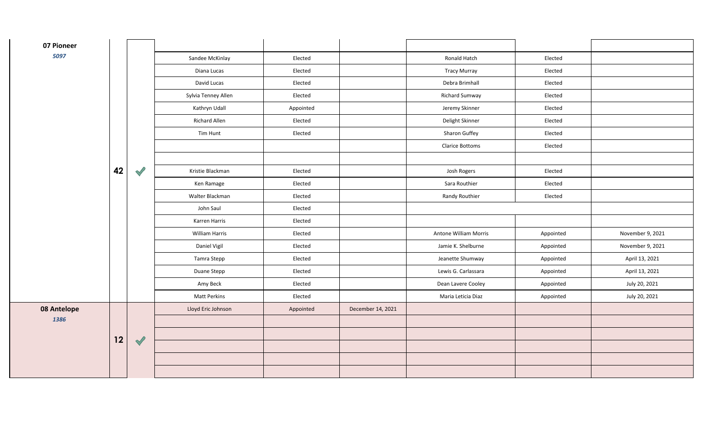| 07 Pioneer  |    |                      |                     |           |                   |                        |           |                  |
|-------------|----|----------------------|---------------------|-----------|-------------------|------------------------|-----------|------------------|
| 5097        |    |                      | Sandee McKinlay     | Elected   |                   | Ronald Hatch           | Elected   |                  |
|             |    |                      | Diana Lucas         | Elected   |                   | <b>Tracy Murray</b>    | Elected   |                  |
|             |    |                      | David Lucas         | Elected   |                   | Debra Brimhall         | Elected   |                  |
|             |    |                      | Sylvia Tenney Allen | Elected   |                   | <b>Richard Sumway</b>  | Elected   |                  |
|             |    |                      | Kathryn Udall       | Appointed |                   | Jeremy Skinner         | Elected   |                  |
|             |    |                      | Richard Allen       | Elected   |                   | Delight Skinner        | Elected   |                  |
|             |    |                      | Tim Hunt            | Elected   |                   | Sharon Guffey          | Elected   |                  |
|             |    |                      |                     |           |                   | <b>Clarice Bottoms</b> | Elected   |                  |
|             |    |                      |                     |           |                   |                        |           |                  |
|             | 42 | $\mathscr{S}$        | Kristie Blackman    | Elected   |                   | Josh Rogers            | Elected   |                  |
|             |    |                      | Ken Ramage          | Elected   |                   | Sara Routhier          | Elected   |                  |
|             |    |                      | Walter Blackman     | Elected   |                   | Randy Routhier         | Elected   |                  |
|             |    |                      | John Saul           | Elected   |                   |                        |           |                  |
|             |    |                      | Karren Harris       | Elected   |                   |                        |           |                  |
|             |    |                      | William Harris      | Elected   |                   | Antone William Morris  | Appointed | November 9, 2021 |
|             |    |                      | Daniel Vigil        | Elected   |                   | Jamie K. Shelburne     | Appointed | November 9, 2021 |
|             |    |                      | Tamra Stepp         | Elected   |                   | Jeanette Shumway       | Appointed | April 13, 2021   |
|             |    |                      | Duane Stepp         | Elected   |                   | Lewis G. Carlassara    | Appointed | April 13, 2021   |
|             |    |                      | Amy Beck            | Elected   |                   | Dean Lavere Cooley     | Appointed | July 20, 2021    |
|             |    |                      | Matt Perkins        | Elected   |                   | Maria Leticia Diaz     | Appointed | July 20, 2021    |
| 08 Antelope |    |                      | Lloyd Eric Johnson  | Appointed | December 14, 2021 |                        |           |                  |
| 1386        |    | $\blacktriangledown$ |                     |           |                   |                        |           |                  |
|             | 12 |                      |                     |           |                   |                        |           |                  |
|             |    |                      |                     |           |                   |                        |           |                  |
|             |    |                      |                     |           |                   |                        |           |                  |
|             |    |                      |                     |           |                   |                        |           |                  |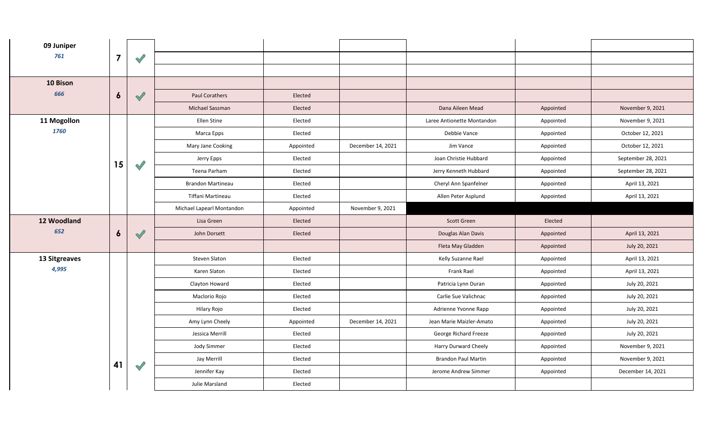| 09 Juniper    |                  |               |                           |           |                   |                            |           |                    |
|---------------|------------------|---------------|---------------------------|-----------|-------------------|----------------------------|-----------|--------------------|
| 761           | $\overline{7}$   | $\mathscr{S}$ |                           |           |                   |                            |           |                    |
|               |                  |               |                           |           |                   |                            |           |                    |
| 10 Bison      |                  |               |                           |           |                   |                            |           |                    |
| 666           | $\boldsymbol{6}$ | $\checkmark$  | <b>Paul Corathers</b>     | Elected   |                   |                            |           |                    |
|               |                  |               | Michael Sassman           | Elected   |                   | Dana Aileen Mead           | Appointed | November 9, 2021   |
| 11 Mogollon   |                  |               | Ellen Stine               | Elected   |                   | Laree Antionette Montandon | Appointed | November 9, 2021   |
| 1760          |                  |               | Marca Epps                | Elected   |                   | Debbie Vance               | Appointed | October 12, 2021   |
|               |                  |               | Mary Jane Cooking         | Appointed | December 14, 2021 | Jim Vance                  | Appointed | October 12, 2021   |
|               |                  |               | Jerry Epps                | Elected   |                   | Joan Christie Hubbard      | Appointed | September 28, 2021 |
|               | 15               | $\mathscr{S}$ | Teena Parham              | Elected   |                   | Jerry Kenneth Hubbard      | Appointed | September 28, 2021 |
|               |                  |               | <b>Brandon Martineau</b>  | Elected   |                   | Cheryl Ann Spanfelner      | Appointed | April 13, 2021     |
|               |                  |               | Tiffani Martineau         | Elected   |                   | Allen Peter Asplund        | Appointed | April 13, 2021     |
|               |                  |               | Michael Lapearl Montandon | Appointed | November 9, 2021  |                            |           |                    |
| 12 Woodland   |                  |               | Lisa Green                | Elected   |                   | <b>Scott Green</b>         | Elected   |                    |
| 652           | $\boldsymbol{6}$ | $\checkmark$  | John Dorsett              | Elected   |                   | Douglas Alan Davis         | Appointed | April 13, 2021     |
|               |                  |               |                           |           |                   | Fleta May Gladden          | Appointed | July 20, 2021      |
| 13 Sitgreaves |                  |               | Steven Slaton             | Elected   |                   | Kelly Suzanne Rael         | Appointed | April 13, 2021     |
| 4,995         |                  |               | Karen Slaton              | Elected   |                   | Frank Rael                 | Appointed | April 13, 2021     |
|               |                  |               | Clayton Howard            | Elected   |                   | Patricia Lynn Duran        | Appointed | July 20, 2021      |
|               |                  |               | Maclorio Rojo             | Elected   |                   | Carlie Sue Valichnac       | Appointed | July 20, 2021      |
|               |                  |               | Hilary Rojo               | Elected   |                   | Adrienne Yvonne Rapp       | Appointed | July 20, 2021      |
|               |                  |               | Amy Lynn Cheely           | Appointed | December 14, 2021 | Jean Marie Maizler-Amato   | Appointed | July 20, 2021      |
|               |                  |               | Jessica Merrill           | Elected   |                   | George Richard Freeze      | Appointed | July 20, 2021      |
|               |                  |               | Jody Simmer               | Elected   |                   | Harry Durward Cheely       | Appointed | November 9, 2021   |
|               | 41               | $\mathscr{S}$ | Jay Merrill               | Elected   |                   | <b>Brandon Paul Martin</b> | Appointed | November 9, 2021   |
|               |                  |               | Jennifer Kay              | Elected   |                   | Jerome Andrew Simmer       | Appointed | December 14, 2021  |
|               |                  |               | Julie Marsland            | Elected   |                   |                            |           |                    |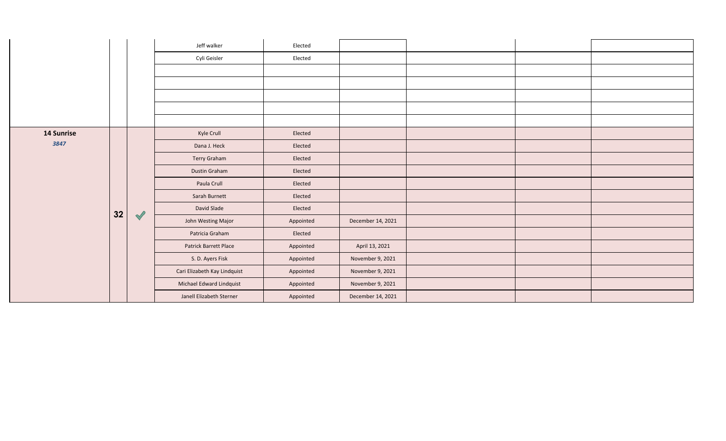|                   |    |                      | Jeff walker                  | Elected   |                   |  |  |
|-------------------|----|----------------------|------------------------------|-----------|-------------------|--|--|
|                   |    |                      | Cyli Geisler                 | Elected   |                   |  |  |
|                   |    |                      |                              |           |                   |  |  |
|                   |    |                      |                              |           |                   |  |  |
|                   |    |                      |                              |           |                   |  |  |
|                   |    |                      |                              |           |                   |  |  |
|                   |    |                      |                              |           |                   |  |  |
| <b>14 Sunrise</b> |    |                      | Kyle Crull                   | Elected   |                   |  |  |
| 3847              |    | $\blacktriangledown$ | Dana J. Heck                 | Elected   |                   |  |  |
|                   |    |                      | Terry Graham                 | Elected   |                   |  |  |
|                   |    |                      | Dustin Graham                | Elected   |                   |  |  |
|                   |    |                      | Paula Crull                  | Elected   |                   |  |  |
|                   |    |                      | Sarah Burnett                | Elected   |                   |  |  |
|                   | 32 |                      | David Slade                  | Elected   |                   |  |  |
|                   |    |                      | John Westing Major           | Appointed | December 14, 2021 |  |  |
|                   |    |                      | Patricia Graham              | Elected   |                   |  |  |
|                   |    |                      | Patrick Barrett Place        | Appointed | April 13, 2021    |  |  |
|                   |    |                      | S. D. Ayers Fisk             | Appointed | November 9, 2021  |  |  |
|                   |    |                      | Cari Elizabeth Kay Lindquist | Appointed | November 9, 2021  |  |  |
|                   |    |                      | Michael Edward Lindquist     | Appointed | November 9, 2021  |  |  |
|                   |    |                      | Janell Elizabeth Sterner     | Appointed | December 14, 2021 |  |  |